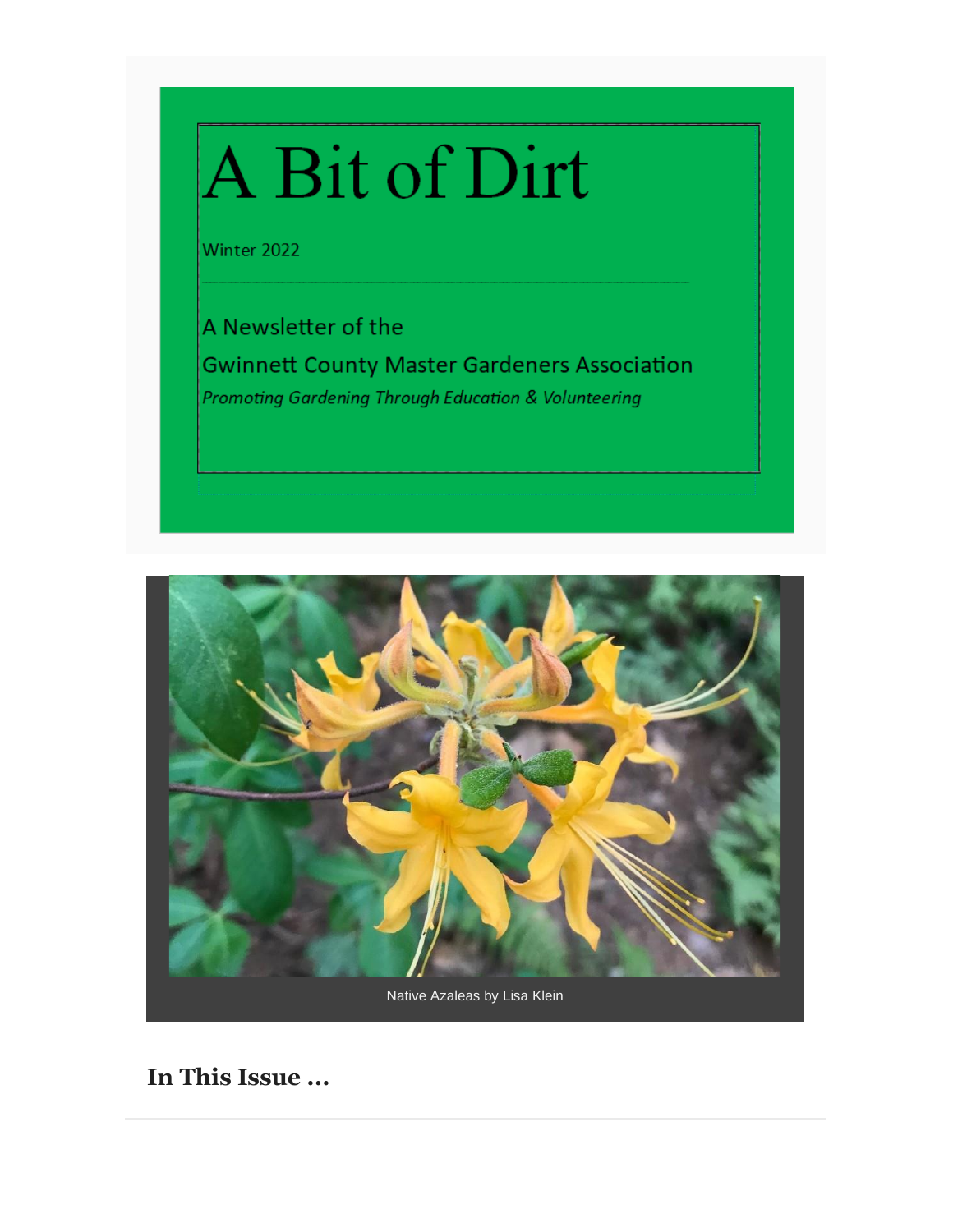# A Bit of Dirt

Winter 2022

A Newsletter of the **Gwinnett County Master Gardeners Association Promoting Gardening Through Education & Volunteering** 



**In This Issue ...**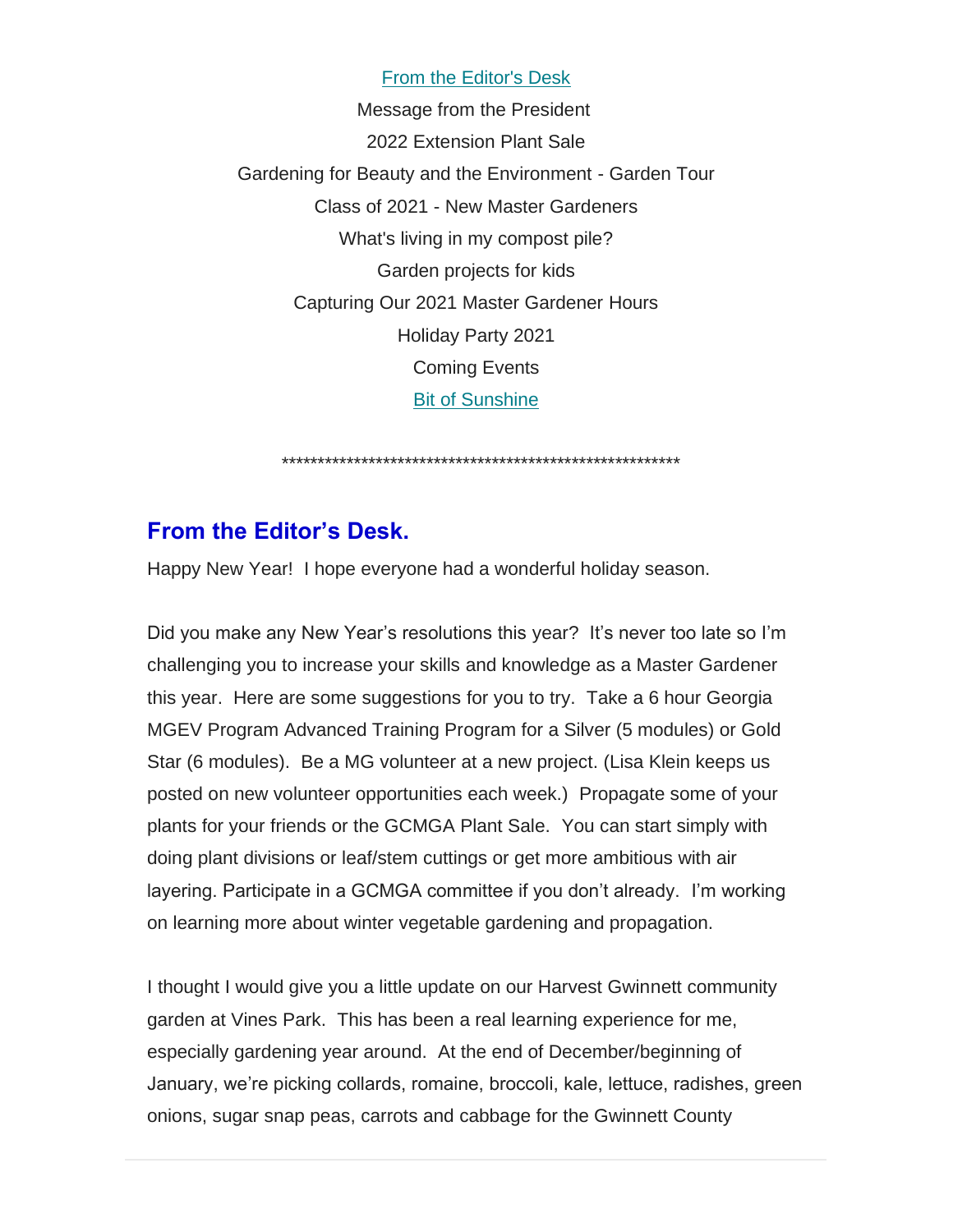From the Editor's Desk Message from the President 2022 Extension Plant Sale Gardening for Beauty and the Environment - Garden Tour Class of 2021 - New Master Gardeners What's living in my compost pile? Garden projects for kids Capturing Our 2021 Master Gardener Hours Holiday Party 2021 Coming Events Bit of Sunshine

\*\*\*\*\*\*\*\*\*\*\*\*\*\*\*\*\*\*\*\*\*\*\*\*\*\*\*\*\*\*\*\*\*\*\*\*\*\*\*\*\*\*\*\*\*\*\*\*\*\*\*\*\*\*\*

#### **From the Editor's Desk.**

Happy New Year! I hope everyone had a wonderful holiday season.

Did you make any New Year's resolutions this year? It's never too late so I'm challenging you to increase your skills and knowledge as a Master Gardener this year. Here are some suggestions for you to try. Take a 6 hour Georgia MGEV Program Advanced Training Program for a Silver (5 modules) or Gold Star (6 modules). Be a MG volunteer at a new project. (Lisa Klein keeps us posted on new volunteer opportunities each week.) Propagate some of your plants for your friends or the GCMGA Plant Sale. You can start simply with doing plant divisions or leaf/stem cuttings or get more ambitious with air layering. Participate in a GCMGA committee if you don't already. I'm working on learning more about winter vegetable gardening and propagation.

I thought I would give you a little update on our Harvest Gwinnett community garden at Vines Park. This has been a real learning experience for me, especially gardening year around. At the end of December/beginning of January, we're picking collards, romaine, broccoli, kale, lettuce, radishes, green onions, sugar snap peas, carrots and cabbage for the Gwinnett County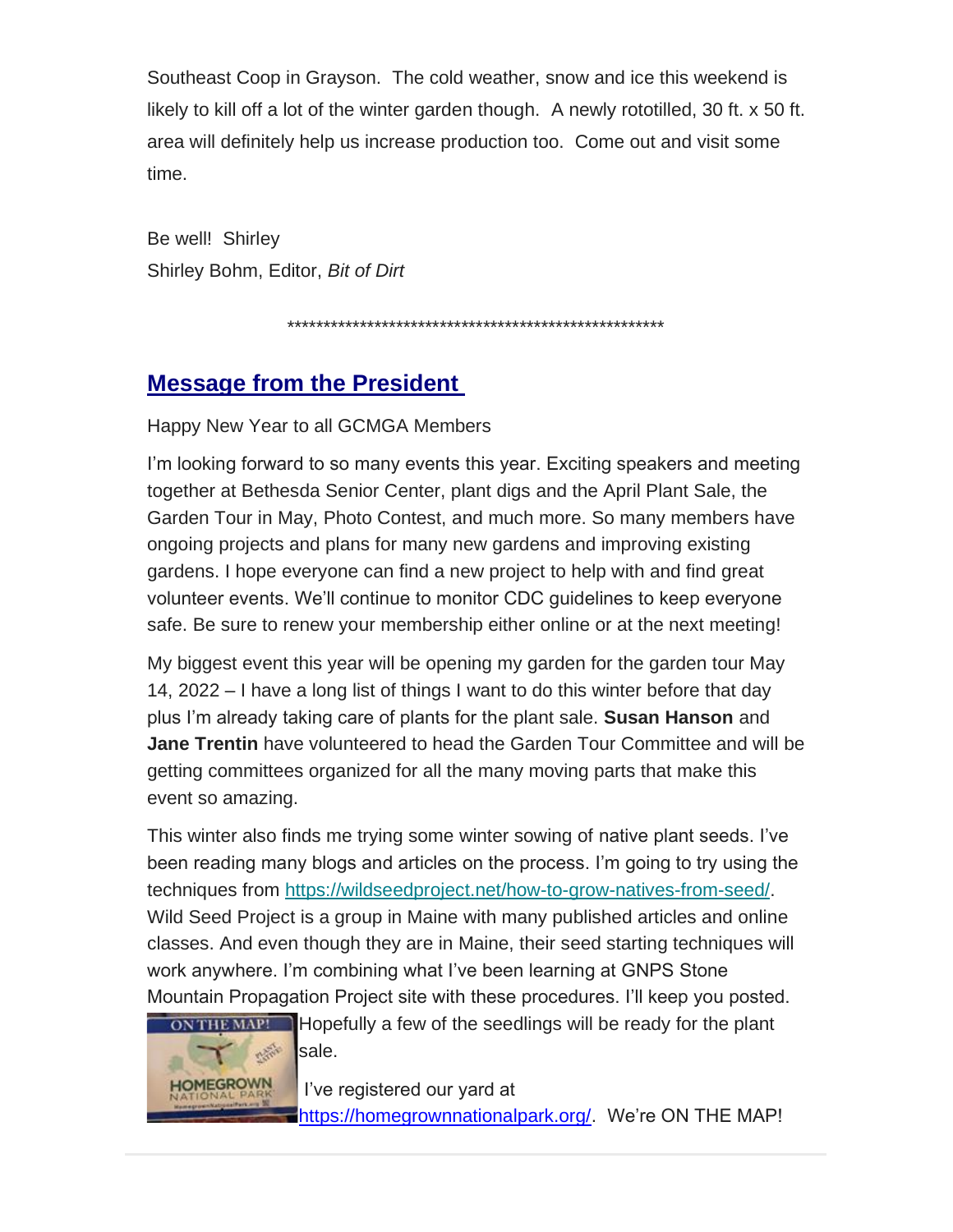Southeast Coop in Grayson. The cold weather, snow and ice this weekend is likely to kill off a lot of the winter garden though. A newly rototilled, 30 ft. x 50 ft. area will definitely help us increase production too. Come out and visit some time.

Be well! Shirley Shirley Bohm, Editor, *Bit of Dirt*

\*\*\*\*\*\*\*\*\*\*\*\*\*\*\*\*\*\*\*\*\*\*\*\*\*\*\*\*\*\*\*\*\*\*\*\*\*\*\*\*\*\*\*\*\*\*\*\*\*\*\*\*

### **Message from the President**

Happy New Year to all GCMGA Members

I'm looking forward to so many events this year. Exciting speakers and meeting together at Bethesda Senior Center, plant digs and the April Plant Sale, the Garden Tour in May, Photo Contest, and much more. So many members have ongoing projects and plans for many new gardens and improving existing gardens. I hope everyone can find a new project to help with and find great volunteer events. We'll continue to monitor CDC guidelines to keep everyone safe. Be sure to renew your membership either online or at the next meeting!

My biggest event this year will be opening my garden for the garden tour May 14, 2022 – I have a long list of things I want to do this winter before that day plus I'm already taking care of plants for the plant sale. **Susan Hanson** and **Jane Trentin** have volunteered to head the Garden Tour Committee and will be getting committees organized for all the many moving parts that make this event so amazing.

This winter also finds me trying some winter sowing of native plant seeds. I've been reading many blogs and articles on the process. I'm going to try using the techniques from [https://wildseedproject.net/how-to-grow-natives-from-seed/.](https://gwinnettmastergardeners.us19.list-manage.com/track/click?u=714bdefef4a5e5b8e1fb78c0c&id=661fdb7ec5&e=eb08b8c5f4) Wild Seed Project is a group in Maine with many published articles and online classes. And even though they are in Maine, their seed starting techniques will work anywhere. I'm combining what I've been learning at GNPS Stone Mountain Propagation Project site with these procedures. I'll keep you posted.



ON THE MAP! Hopefully a few of the seedlings will be ready for the plant sale.

> I've registered our yard at [https://homegrownnationalpark.org/.](https://homegrownnationalpark.org/) We're ON THE MAP!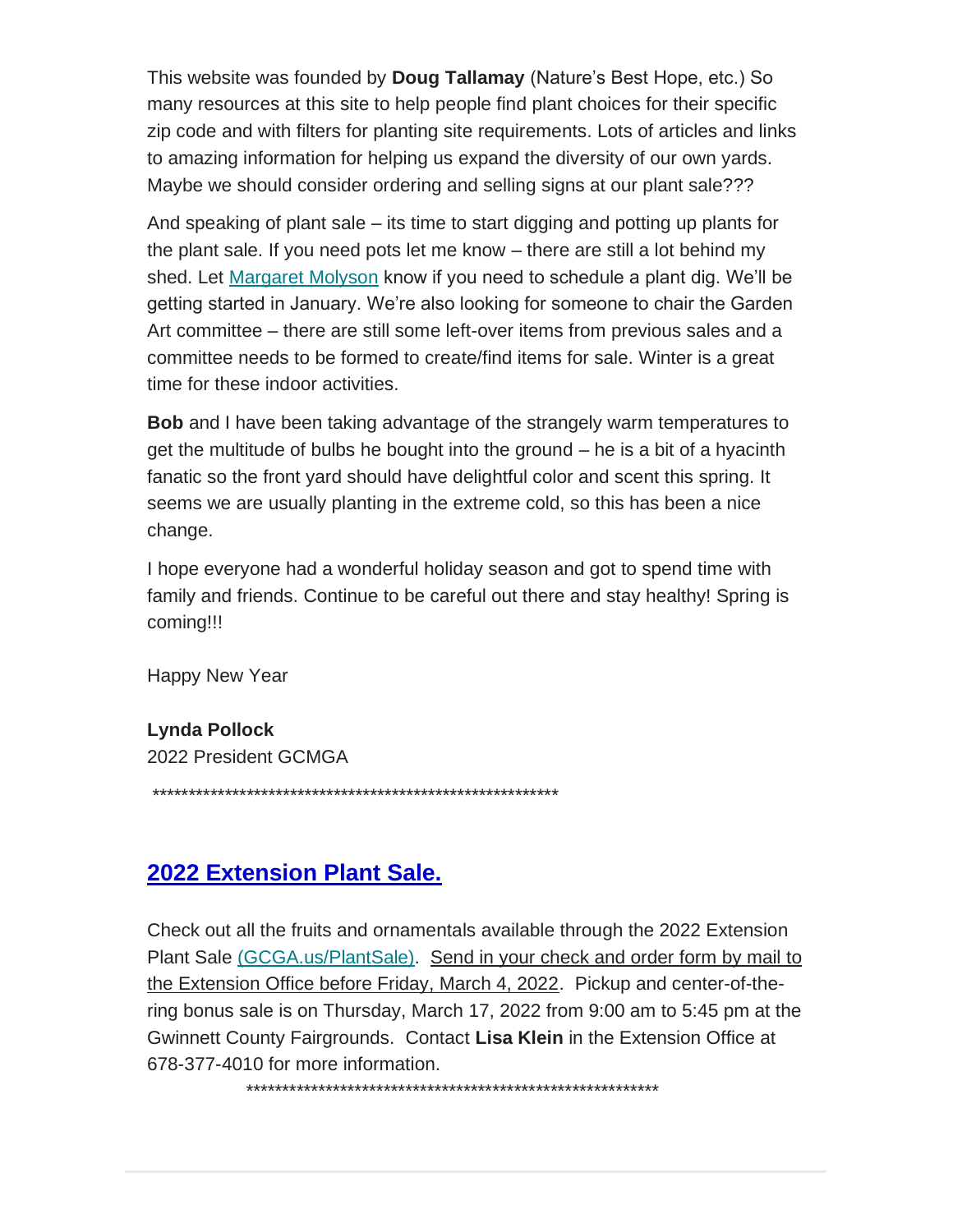This website was founded by **Doug Tallamay** (Nature's Best Hope, etc.) So many resources at this site to help people find plant choices for their specific zip code and with filters for planting site requirements. Lots of articles and links to amazing information for helping us expand the diversity of our own yards. Maybe we should consider ordering and selling signs at our plant sale???

And speaking of plant sale – its time to start digging and potting up plants for the plant sale. If you need pots let me know – there are still a lot behind my shed. Let [Margaret Molyson](mailto:mmolyson@hotmail.com) know if you need to schedule a plant dig. We'll be getting started in January. We're also looking for someone to chair the Garden Art committee – there are still some left-over items from previous sales and a committee needs to be formed to create/find items for sale. Winter is a great time for these indoor activities.

**Bob** and I have been taking advantage of the strangely warm temperatures to get the multitude of bulbs he bought into the ground – he is a bit of a hyacinth fanatic so the front yard should have delightful color and scent this spring. It seems we are usually planting in the extreme cold, so this has been a nice change.

I hope everyone had a wonderful holiday season and got to spend time with family and friends. Continue to be careful out there and stay healthy! Spring is coming!!!

Happy New Year

#### **Lynda Pollock**

2022 President GCMGA

\*\*\*\*\*\*\*\*\*\*\*\*\*\*\*\*\*\*\*\*\*\*\*\*\*\*\*\*\*\*\*\*\*\*\*\*\*\*\*\*\*\*\*\*\*\*\*\*\*\*\*\*\*\*\*\*

#### **2022 Extension Plant Sale.**

Check out all the fruits and ornamentals available through the 2022 Extension Plant Sale [\(GCGA.us/PlantSale\).](https://gwinnettmastergardeners.us19.list-manage.com/track/click?u=714bdefef4a5e5b8e1fb78c0c&id=720c4e2fd7&e=eb08b8c5f4) Send in your check and order form by mail to the Extension Office before Friday, March 4, 2022. Pickup and center-of-thering bonus sale is on Thursday, March 17, 2022 from 9:00 am to 5:45 pm at the Gwinnett County Fairgrounds. Contact **Lisa Klein** in the Extension Office at 678-377-4010 for more information.

\*\*\*\*\*\*\*\*\*\*\*\*\*\*\*\*\*\*\*\*\*\*\*\*\*\*\*\*\*\*\*\*\*\*\*\*\*\*\*\*\*\*\*\*\*\*\*\*\*\*\*\*\*\*\*\*\*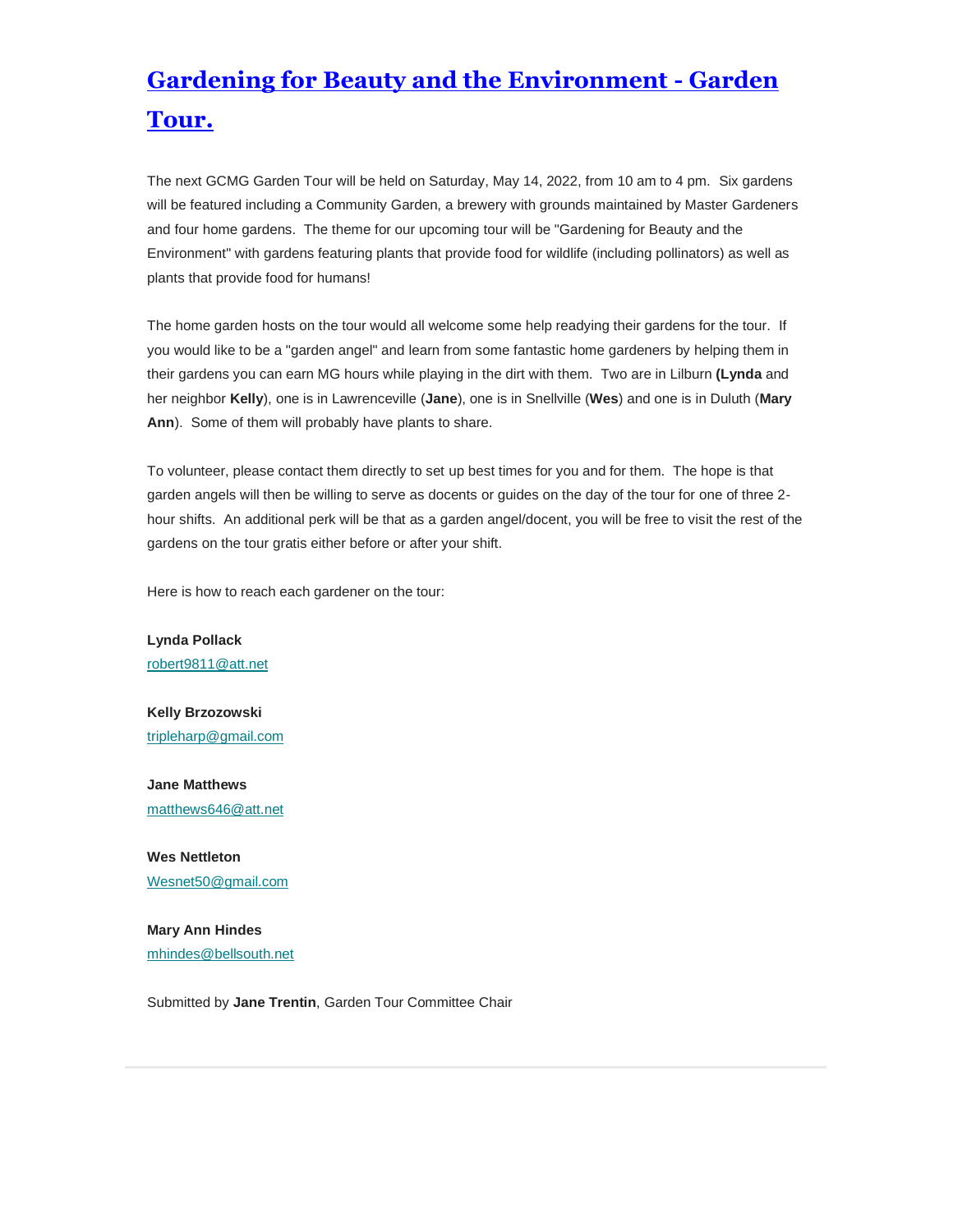## **Gardening for Beauty and the Environment - Garden Tour.**

The next GCMG Garden Tour will be held on Saturday, May 14, 2022, from 10 am to 4 pm. Six gardens will be featured including a Community Garden, a brewery with grounds maintained by Master Gardeners and four home gardens. The theme for our upcoming tour will be "Gardening for Beauty and the Environment" with gardens featuring plants that provide food for wildlife (including pollinators) as well as plants that provide food for humans!

The home garden hosts on the tour would all welcome some help readying their gardens for the tour. If you would like to be a "garden angel" and learn from some fantastic home gardeners by helping them in their gardens you can earn MG hours while playing in the dirt with them. Two are in Lilburn **(Lynda** and her neighbor **Kelly**), one is in Lawrenceville (**Jane**), one is in Snellville (**Wes**) and one is in Duluth (**Mary Ann**). Some of them will probably have plants to share.

To volunteer, please contact them directly to set up best times for you and for them. The hope is that garden angels will then be willing to serve as docents or guides on the day of the tour for one of three 2 hour shifts. An additional perk will be that as a garden angel/docent, you will be free to visit the rest of the gardens on the tour gratis either before or after your shift.

Here is how to reach each gardener on the tour:

**Lynda Pollack** [robert9811@att.net](mailto:robert9811@att.net)

**Kelly Brzozowski** [tripleharp@gmail.com](mailto:tripleharp@gmail.com)

**Jane Matthews** [matthews646@att.net](mailto:matthews646@att.net)

**Wes Nettleton** [Wesnet50@gmail.com](mailto:Wesnet50@gmail.com)

**Mary Ann Hindes** [mhindes@bellsouth.net](mailto:mhindes@bellsouth.net)

Submitted by **Jane Trentin**, Garden Tour Committee Chair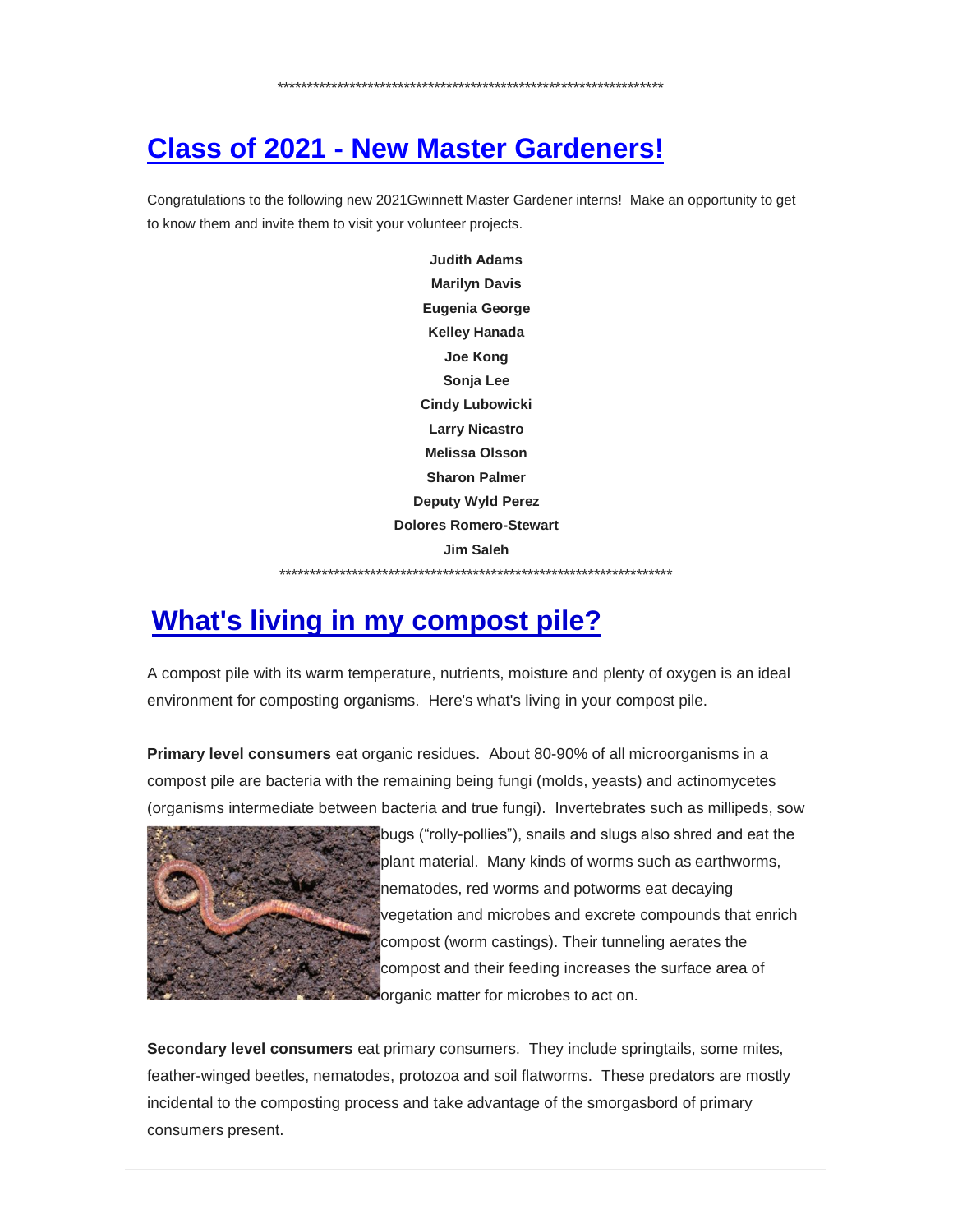\*\*\*\*\*\*\*\*\*\*\*\*\*\*\*\*\*\*\*\*\*\*\*\*\*\*\*\*\*\*\*\*\*\*\*\*\*\*\*\*\*\*\*\*\*\*\*\*\*\*\*\*\*\*\*\*\*\*\*\*\*\*\*\*

## **Class of 2021 - New Master Gardeners!**

Congratulations to the following new 2021Gwinnett Master Gardener interns! Make an opportunity to get to know them and invite them to visit your volunteer projects.

> **Judith Adams Marilyn Davis Eugenia George Kelley Hanada Joe Kong Sonja Lee Cindy Lubowicki Larry Nicastro Melissa Olsson Sharon Palmer Deputy Wyld Perez Dolores Romero-Stewart Jim Saleh** \*\*\*\*\*\*\*\*\*\*\*\*\*\*\*\*\*\*\*\*\*\*\*\*\*\*\*\*\*\*\*\*\*\*\*\*\*\*\*\*\*\*\*\*\*\*\*\*\*\*\*\*\*\*\*\*\*\*\*\*\*\*\*\*\*

## **What's living in my compost pile?**

A compost pile with its warm temperature, nutrients, moisture and plenty of oxygen is an ideal environment for composting organisms. Here's what's living in your compost pile.

**Primary level consumers** eat organic residues. About 80-90% of all microorganisms in a compost pile are bacteria with the remaining being fungi (molds, yeasts) and actinomycetes (organisms intermediate between bacteria and true fungi). Invertebrates such as millipeds, sow



bugs ("rolly-pollies"), snails and slugs also shred and eat the plant material. Many kinds of worms such as earthworms, nematodes, red worms and potworms eat decaying vegetation and microbes and excrete compounds that enrich compost (worm castings). Their tunneling aerates the compost and their feeding increases the surface area of **Forganic matter for microbes to act on.** 

**Secondary level consumers** eat primary consumers. They include springtails, some mites, feather-winged beetles, nematodes, protozoa and soil flatworms. These predators are mostly incidental to the composting process and take advantage of the smorgasbord of primary consumers present.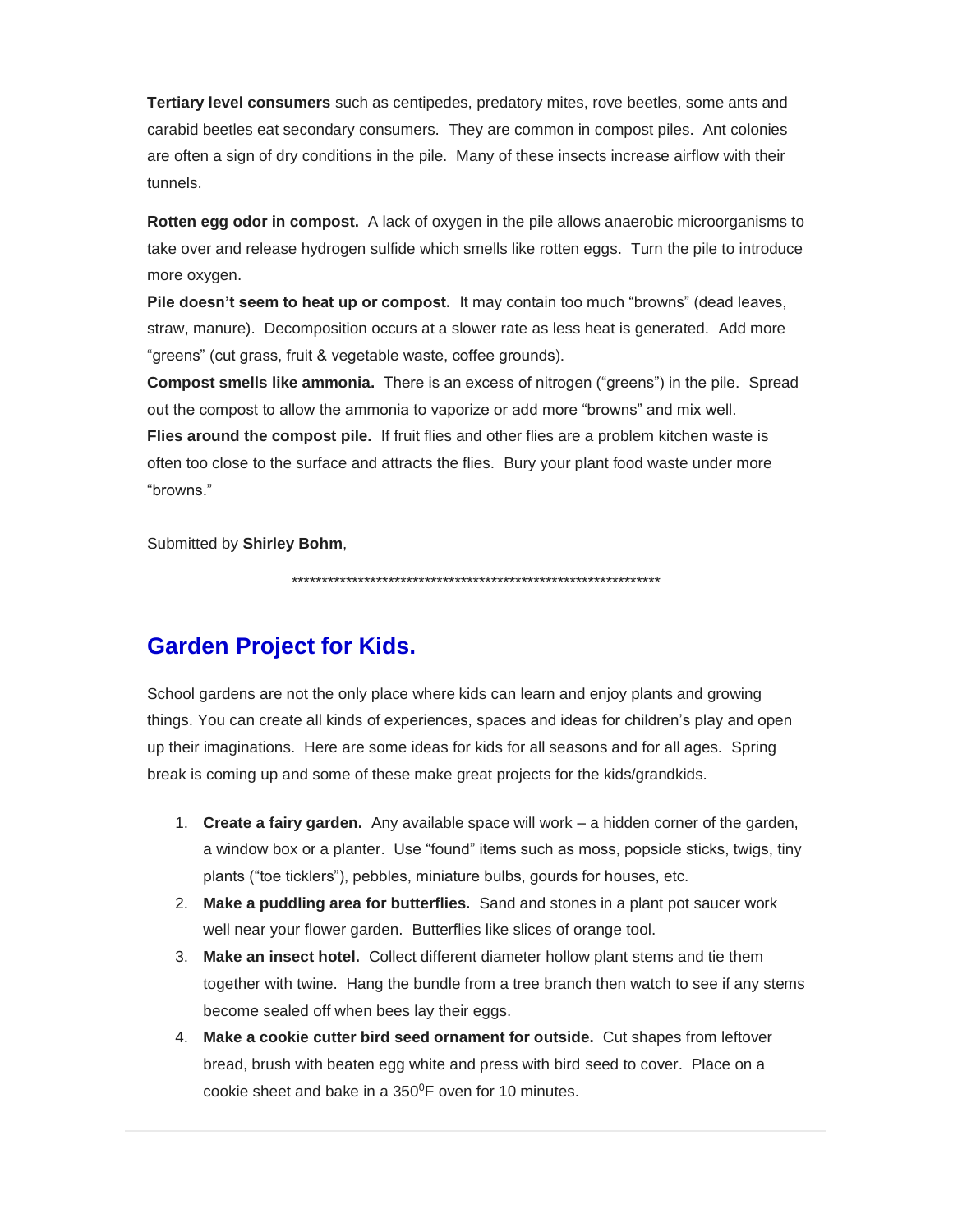**Tertiary level consumers** such as centipedes, predatory mites, rove beetles, some ants and carabid beetles eat secondary consumers. They are common in compost piles. Ant colonies are often a sign of dry conditions in the pile. Many of these insects increase airflow with their tunnels.

**Rotten egg odor in compost.** A lack of oxygen in the pile allows anaerobic microorganisms to take over and release hydrogen sulfide which smells like rotten eggs. Turn the pile to introduce more oxygen.

**Pile doesn't seem to heat up or compost.** It may contain too much "browns" (dead leaves, straw, manure). Decomposition occurs at a slower rate as less heat is generated. Add more "greens" (cut grass, fruit & vegetable waste, coffee grounds).

**Compost smells like ammonia.** There is an excess of nitrogen ("greens") in the pile. Spread out the compost to allow the ammonia to vaporize or add more "browns" and mix well. **Flies around the compost pile.** If fruit flies and other flies are a problem kitchen waste is often too close to the surface and attracts the flies. Bury your plant food waste under more "browns."

Submitted by **Shirley Bohm**,

\*\*\*\*\*\*\*\*\*\*\*\*\*\*\*\*\*\*\*\*\*\*\*\*\*\*\*\*\*\*\*\*\*\*\*\*\*\*\*\*\*\*\*\*\*\*\*\*\*\*\*\*\*\*\*\*\*\*\*\*\*

#### **Garden Project for Kids.**

School gardens are not the only place where kids can learn and enjoy plants and growing things. You can create all kinds of experiences, spaces and ideas for children's play and open up their imaginations. Here are some ideas for kids for all seasons and for all ages. Spring break is coming up and some of these make great projects for the kids/grandkids.

- 1. **Create a fairy garden.** Any available space will work a hidden corner of the garden, a window box or a planter. Use "found" items such as moss, popsicle sticks, twigs, tiny plants ("toe ticklers"), pebbles, miniature bulbs, gourds for houses, etc.
- 2. **Make a puddling area for butterflies.** Sand and stones in a plant pot saucer work well near your flower garden. Butterflies like slices of orange tool.
- 3. **Make an insect hotel.** Collect different diameter hollow plant stems and tie them together with twine. Hang the bundle from a tree branch then watch to see if any stems become sealed off when bees lay their eggs.
- 4. **Make a cookie cutter bird seed ornament for outside.** Cut shapes from leftover bread, brush with beaten egg white and press with bird seed to cover. Place on a cookie sheet and bake in a  $350^{\circ}$ F oven for 10 minutes.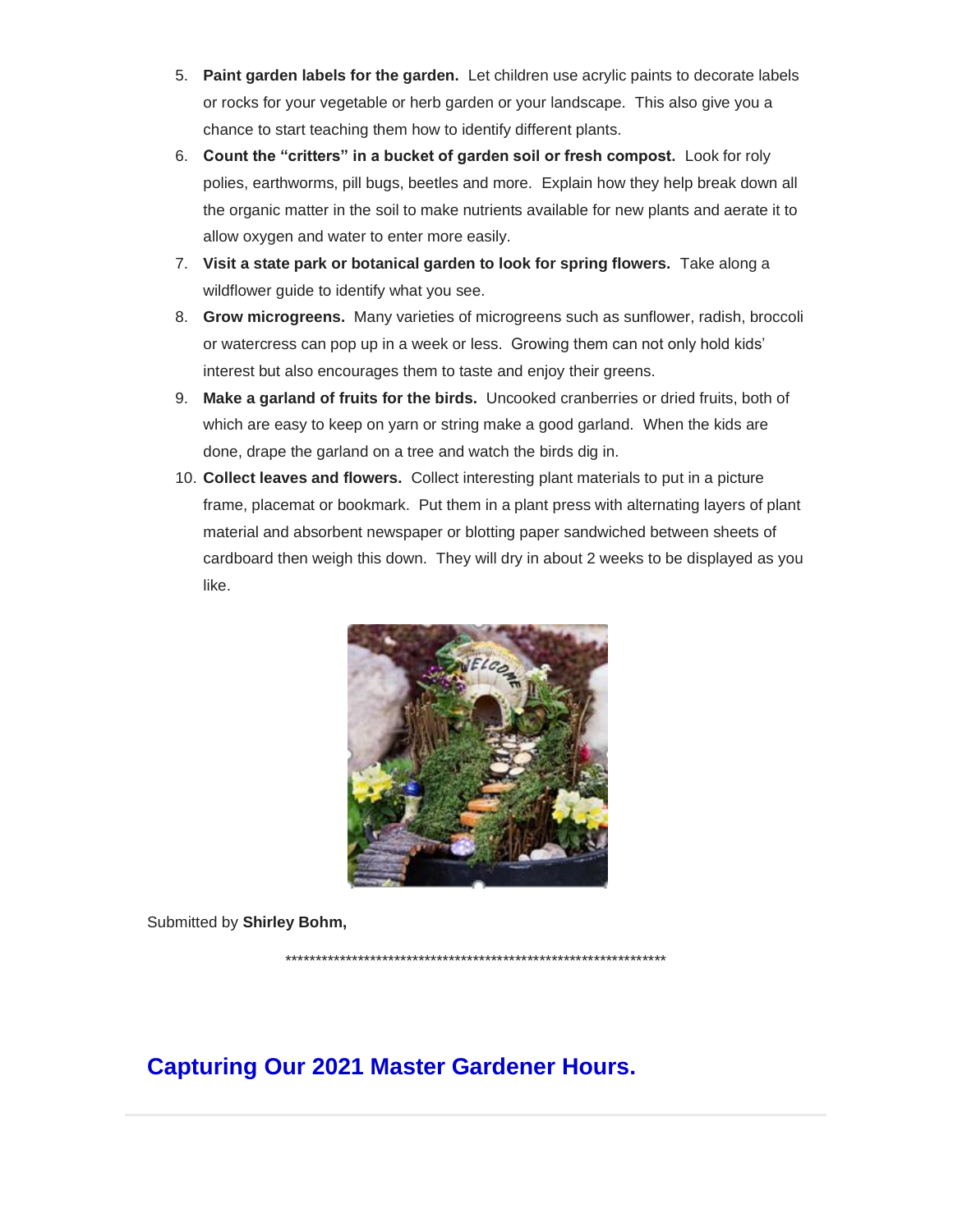- 5. **Paint garden labels for the garden.** Let children use acrylic paints to decorate labels or rocks for your vegetable or herb garden or your landscape. This also give you a chance to start teaching them how to identify different plants.
- 6. **Count the "critters" in a bucket of garden soil or fresh compost.** Look for roly polies, earthworms, pill bugs, beetles and more. Explain how they help break down all the organic matter in the soil to make nutrients available for new plants and aerate it to allow oxygen and water to enter more easily.
- 7. **Visit a state park or botanical garden to look for spring flowers.** Take along a wildflower guide to identify what you see.
- 8. **Grow microgreens.** Many varieties of microgreens such as sunflower, radish, broccoli or watercress can pop up in a week or less. Growing them can not only hold kids' interest but also encourages them to taste and enjoy their greens.
- 9. **Make a garland of fruits for the birds.** Uncooked cranberries or dried fruits, both of which are easy to keep on yarn or string make a good garland. When the kids are done, drape the garland on a tree and watch the birds dig in.
- 10. **Collect leaves and flowers.** Collect interesting plant materials to put in a picture frame, placemat or bookmark. Put them in a plant press with alternating layers of plant material and absorbent newspaper or blotting paper sandwiched between sheets of cardboard then weigh this down. They will dry in about 2 weeks to be displayed as you like.



Submitted by **Shirley Bohm,**

\*\*\*\*\*\*\*\*\*\*\*\*\*\*\*\*\*\*\*\*\*\*\*\*\*\*\*\*\*\*\*\*\*\*\*\*\*\*\*\*\*\*\*\*\*\*\*\*\*\*\*\*\*\*\*\*\*\*\*\*\*\*\*

#### **Capturing Our 2021 Master Gardener Hours.**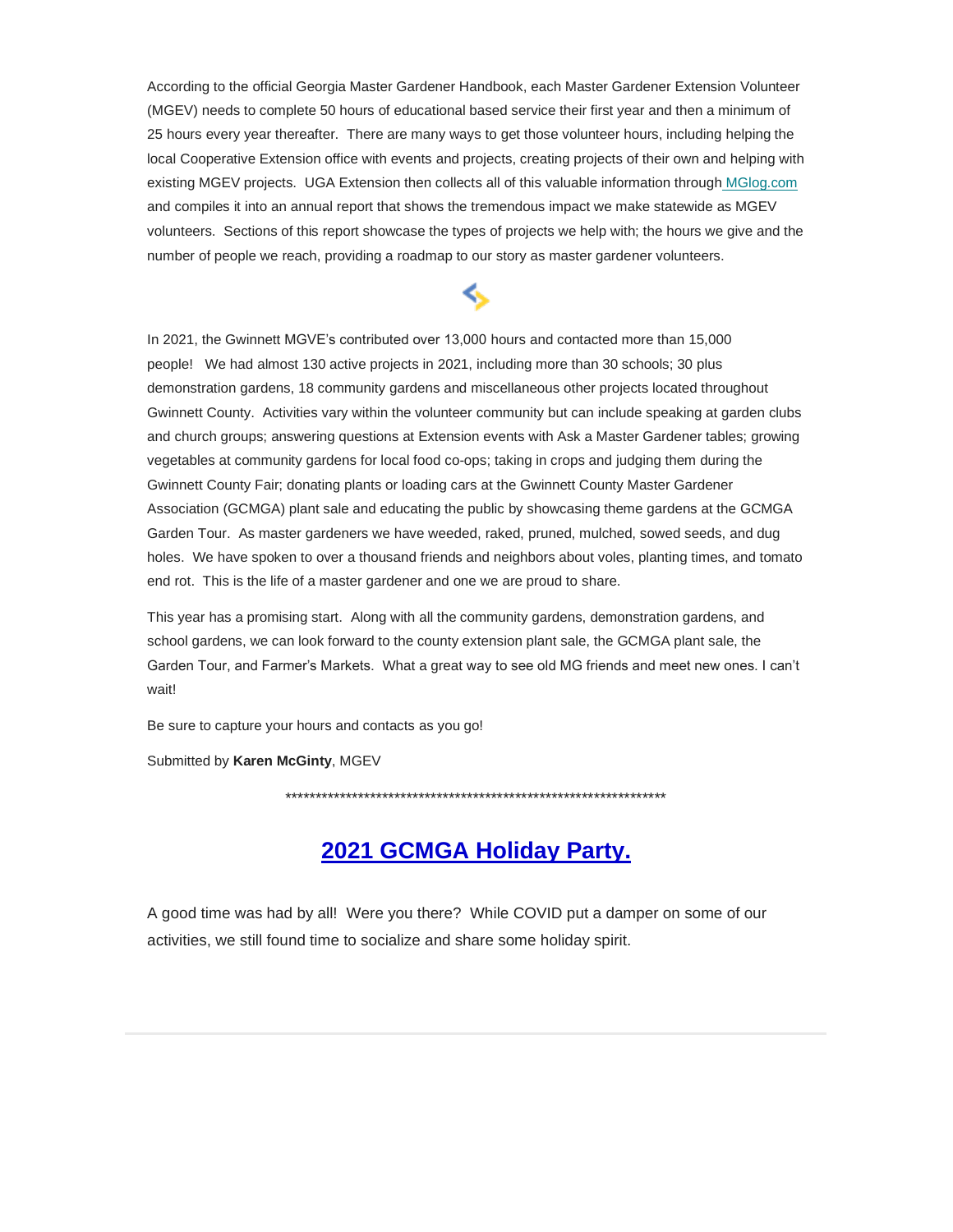According to the official Georgia Master Gardener Handbook, each Master Gardener Extension Volunteer (MGEV) needs to complete 50 hours of educational based service their first year and then a minimum of 25 hours every year thereafter. There are many ways to get those volunteer hours, including helping the local Cooperative Extension office with events and projects, creating projects of their own and helping with existing MGEV projects. UGA Extension then collects all of this valuable information through [MGlog.com](https://gwinnettmastergardeners.us19.list-manage.com/track/click?u=714bdefef4a5e5b8e1fb78c0c&id=8aae1c4c89&e=eb08b8c5f4)  and compiles it into an annual report that shows the tremendous impact we make statewide as MGEV volunteers. Sections of this report showcase the types of projects we help with; the hours we give and the number of people we reach, providing a roadmap to our story as master gardener volunteers.

⇖

In 2021, the Gwinnett MGVE's contributed over 13,000 hours and contacted more than 15,000 people! We had almost 130 active projects in 2021, including more than 30 schools; 30 plus demonstration gardens, 18 community gardens and miscellaneous other projects located throughout Gwinnett County. Activities vary within the volunteer community but can include speaking at garden clubs and church groups; answering questions at Extension events with Ask a Master Gardener tables; growing vegetables at community gardens for local food co-ops; taking in crops and judging them during the Gwinnett County Fair; donating plants or loading cars at the Gwinnett County Master Gardener Association (GCMGA) plant sale and educating the public by showcasing theme gardens at the GCMGA Garden Tour. As master gardeners we have weeded, raked, pruned, mulched, sowed seeds, and dug holes. We have spoken to over a thousand friends and neighbors about voles, planting times, and tomato end rot. This is the life of a master gardener and one we are proud to share.

This year has a promising start. Along with all the community gardens, demonstration gardens, and school gardens, we can look forward to the county extension plant sale, the GCMGA plant sale, the Garden Tour, and Farmer's Markets. What a great way to see old MG friends and meet new ones. I can't wait!

Be sure to capture your hours and contacts as you go!

Submitted by **Karen McGinty**, MGEV

\*\*\*\*\*\*\*\*\*\*\*\*\*\*\*\*\*\*\*\*\*\*\*\*\*\*\*\*\*\*\*\*\*\*\*\*\*\*\*\*\*\*\*\*\*\*\*\*\*\*\*\*\*\*\*\*\*\*\*\*\*\*\*

#### **2021 GCMGA Holiday Party.**

A good time was had by all! Were you there? While COVID put a damper on some of our activities, we still found time to socialize and share some holiday spirit.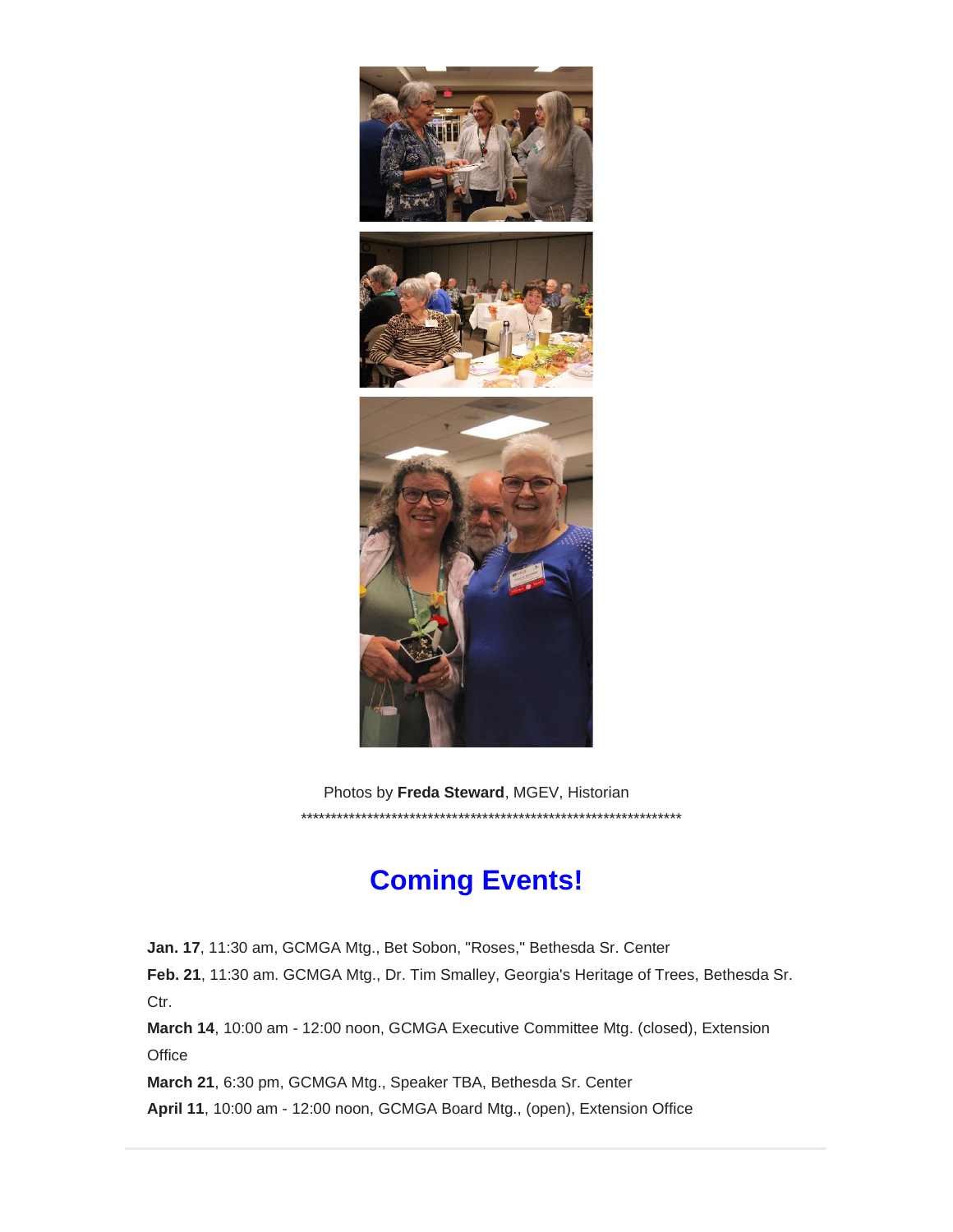

Photos by **Freda Steward**, MGEV, Historian \*\*\*\*\*\*\*\*\*\*\*\*\*\*\*\*\*\*\*\*\*\*\*\*\*\*\*\*\*\*\*\*\*\*\*\*\*\*\*\*\*\*\*\*\*\*\*\*\*\*\*\*\*\*\*\*\*\*\*\*\*\*\*

## **Coming Events!**

**Jan. 17**, 11:30 am, GCMGA Mtg., Bet Sobon, "Roses," Bethesda Sr. Center

**Feb. 21**, 11:30 am. GCMGA Mtg., Dr. Tim Smalley, Georgia's Heritage of Trees, Bethesda Sr. Ctr.

**March 14**, 10:00 am - 12:00 noon, GCMGA Executive Committee Mtg. (closed), Extension **Office** 

**March 21**, 6:30 pm, GCMGA Mtg., Speaker TBA, Bethesda Sr. Center

**April 11**, 10:00 am - 12:00 noon, GCMGA Board Mtg., (open), Extension Office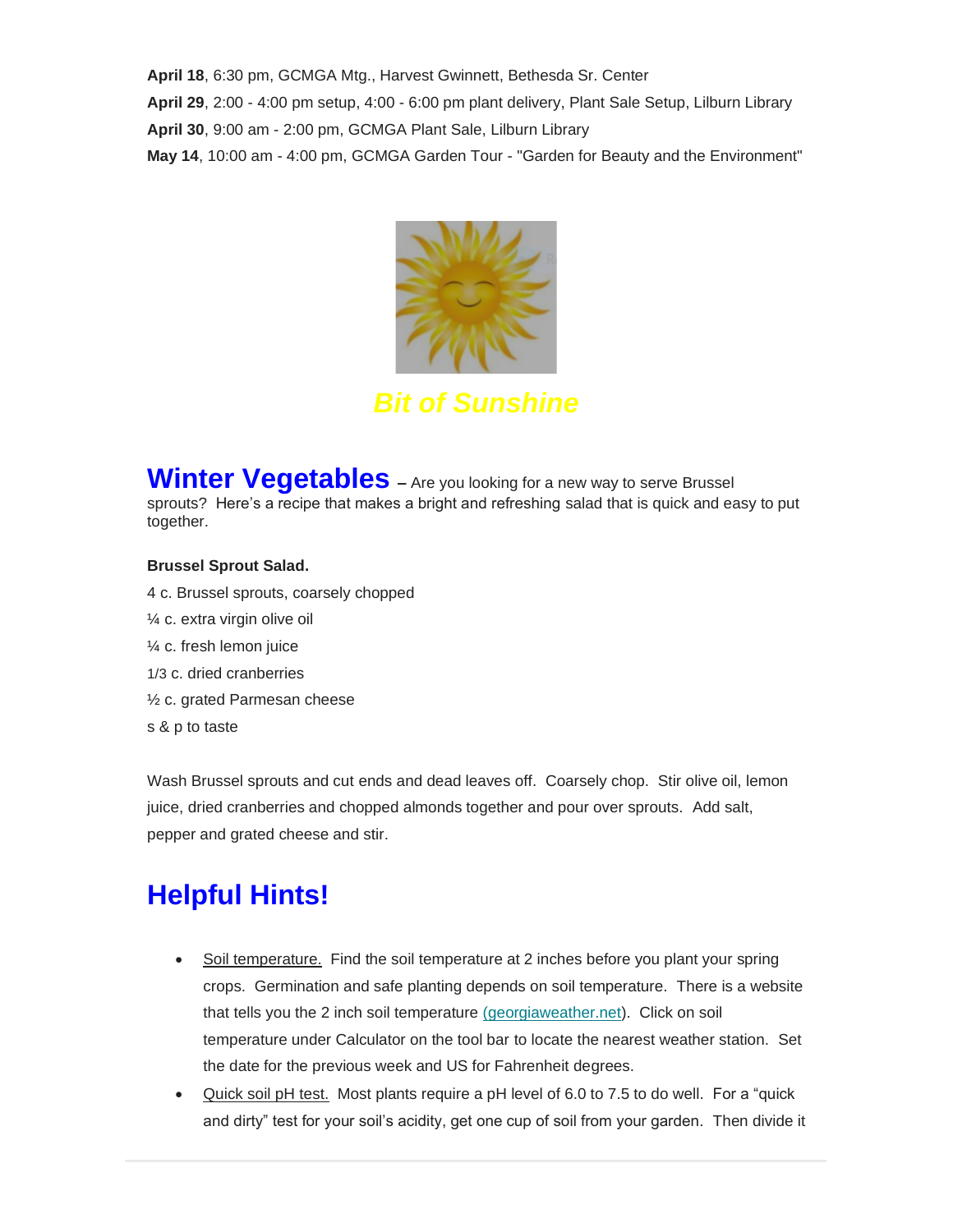**April 18**, 6:30 pm, GCMGA Mtg., Harvest Gwinnett, Bethesda Sr. Center **April 29**, 2:00 - 4:00 pm setup, 4:00 - 6:00 pm plant delivery, Plant Sale Setup, Lilburn Library **April 30**, 9:00 am - 2:00 pm, GCMGA Plant Sale, Lilburn Library **May 14**, 10:00 am - 4:00 pm, GCMGA Garden Tour - "Garden for Beauty and the Environment"



*Bit of Sunshine*

**Winter Vegetables** – Are you looking for a new way to serve Brussel sprouts? Here's a recipe that makes a bright and refreshing salad that is quick and easy to put together.

#### **Brussel Sprout Salad.**

- 4 c. Brussel sprouts, coarsely chopped
- ¼ c. extra virgin olive oil
- ¼ c. fresh lemon juice
- 1/3 c. dried cranberries
- ½ c. grated Parmesan cheese
- s & p to taste

Wash Brussel sprouts and cut ends and dead leaves off. Coarsely chop. Stir olive oil, lemon juice, dried cranberries and chopped almonds together and pour over sprouts. Add salt, pepper and grated cheese and stir.

# **Helpful Hints!**

- Soil temperature. Find the soil temperature at 2 inches before you plant your spring crops. Germination and safe planting depends on soil temperature. There is a website that tells you the 2 inch soil temperature [\(georgiaweather.net\)](https://gwinnettmastergardeners.us19.list-manage.com/track/click?u=714bdefef4a5e5b8e1fb78c0c&id=690d03a099&e=eb08b8c5f4). Click on soil temperature under Calculator on the tool bar to locate the nearest weather station. Set the date for the previous week and US for Fahrenheit degrees.
- Quick soil pH test. Most plants require a pH level of 6.0 to 7.5 to do well. For a "quick and dirty" test for your soil's acidity, get one cup of soil from your garden. Then divide it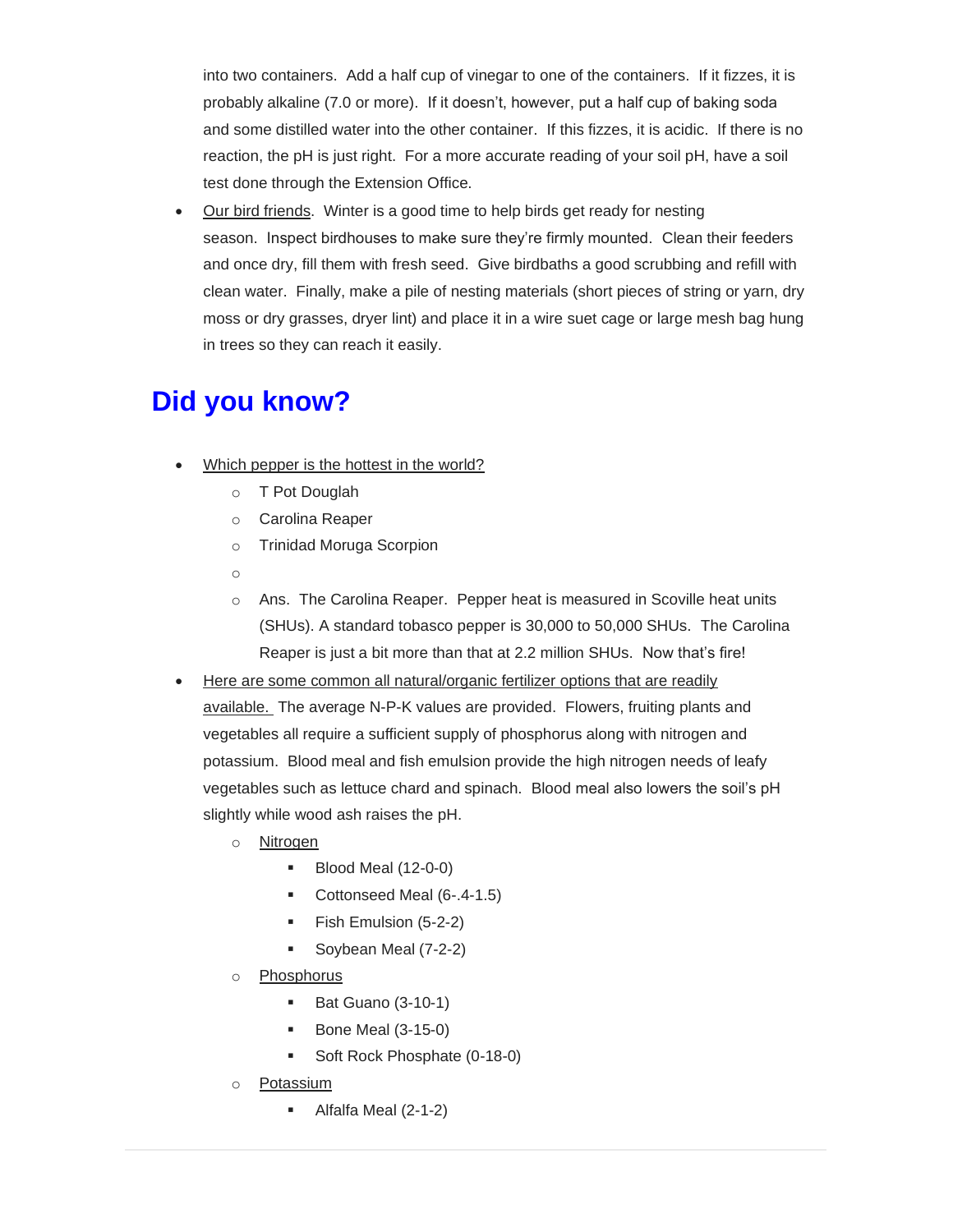into two containers. Add a half cup of vinegar to one of the containers. If it fizzes, it is probably alkaline (7.0 or more). If it doesn't, however, put a half cup of baking soda and some distilled water into the other container. If this fizzes, it is acidic. If there is no reaction, the pH is just right. For a more accurate reading of your soil pH, have a soil test done through the Extension Office.

• Our bird friends. Winter is a good time to help birds get ready for nesting season. Inspect birdhouses to make sure they're firmly mounted. Clean their feeders and once dry, fill them with fresh seed. Give birdbaths a good scrubbing and refill with clean water. Finally, make a pile of nesting materials (short pieces of string or yarn, dry moss or dry grasses, dryer lint) and place it in a wire suet cage or large mesh bag hung in trees so they can reach it easily.

## **Did you know?**

- Which pepper is the hottest in the world?
	- o T Pot Douglah
	- o Carolina Reaper
	- o Trinidad Moruga Scorpion
	- o
	- o Ans. The Carolina Reaper. Pepper heat is measured in Scoville heat units (SHUs). A standard tobasco pepper is 30,000 to 50,000 SHUs. The Carolina Reaper is just a bit more than that at 2.2 million SHUs. Now that's fire!
- Here are some common all natural/organic fertilizer options that are readily available. The average N-P-K values are provided. Flowers, fruiting plants and vegetables all require a sufficient supply of phosphorus along with nitrogen and potassium. Blood meal and fish emulsion provide the high nitrogen needs of leafy vegetables such as lettuce chard and spinach. Blood meal also lowers the soil's pH slightly while wood ash raises the pH.
	- o Nitrogen
		- Blood Meal (12-0-0)
		- Cottonseed Meal (6-.4-1.5)
		- Fish Emulsion (5-2-2)
		- Soybean Meal (7-2-2)
	- o Phosphorus
		- **Bat Guano (3-10-1)**
		- Bone Meal (3-15-0)
		- Soft Rock Phosphate (0-18-0)
	- o Potassium
		- Alfalfa Meal (2-1-2)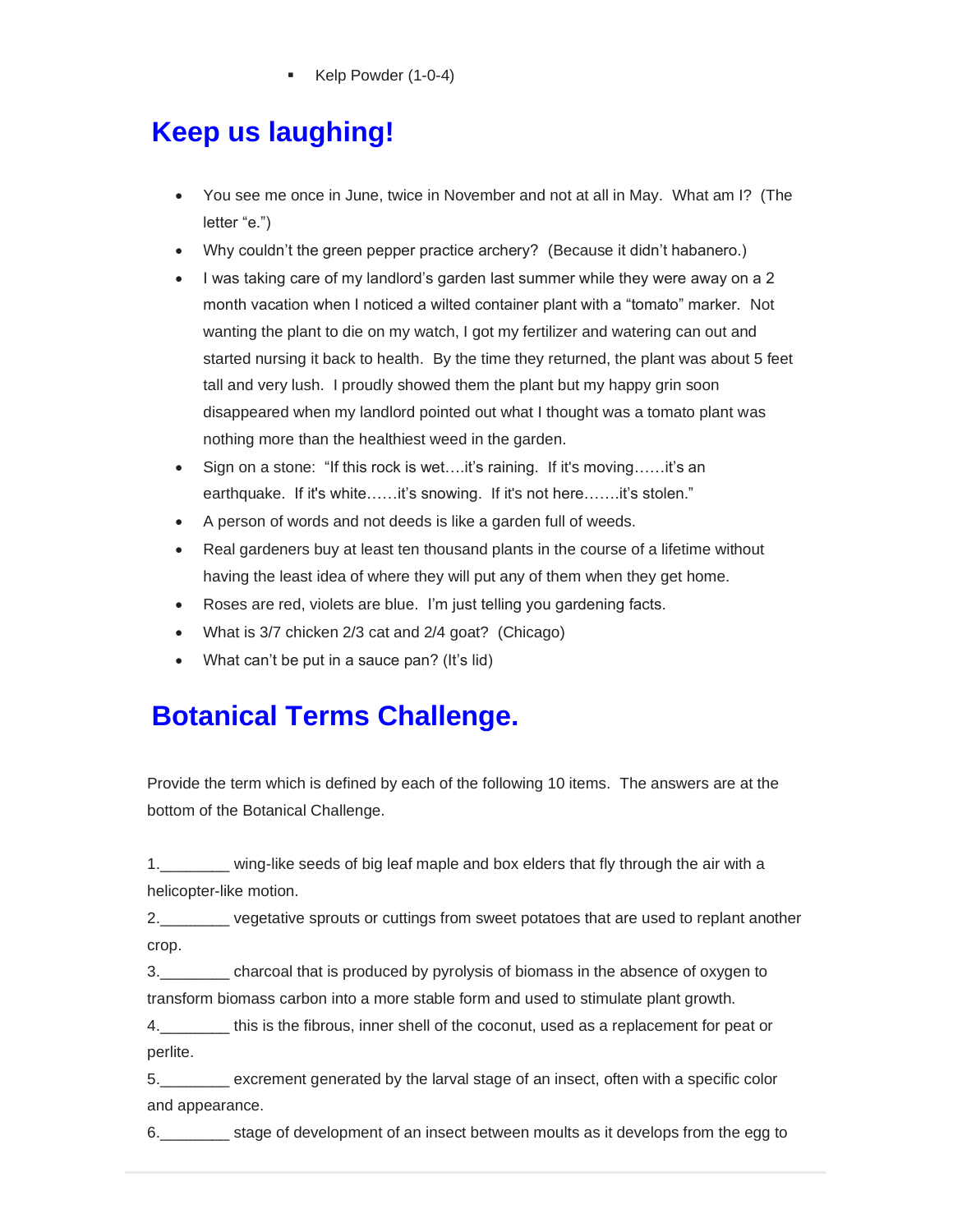Kelp Powder (1-0-4)

# **Keep us laughing!**

- You see me once in June, twice in November and not at all in May. What am I? (The letter "e.")
- Why couldn't the green pepper practice archery? (Because it didn't habanero.)
- I was taking care of my landlord's garden last summer while they were away on a 2 month vacation when I noticed a wilted container plant with a "tomato" marker. Not wanting the plant to die on my watch, I got my fertilizer and watering can out and started nursing it back to health. By the time they returned, the plant was about 5 feet tall and very lush. I proudly showed them the plant but my happy grin soon disappeared when my landlord pointed out what I thought was a tomato plant was nothing more than the healthiest weed in the garden.
- Sign on a stone: "If this rock is wet….it's raining. If it's moving……it's an earthquake. If it's white……it's snowing. If it's not here…….it's stolen."
- A person of words and not deeds is like a garden full of weeds.
- Real gardeners buy at least ten thousand plants in the course of a lifetime without having the least idea of where they will put any of them when they get home.
- Roses are red, violets are blue. I'm just telling you gardening facts.
- What is 3/7 chicken 2/3 cat and 2/4 goat? (Chicago)
- What can't be put in a sauce pan? (It's lid)

## **Botanical Terms Challenge.**

Provide the term which is defined by each of the following 10 items. The answers are at the bottom of the Botanical Challenge.

1.\_\_\_\_\_\_\_\_ wing-like seeds of big leaf maple and box elders that fly through the air with a helicopter-like motion.

2.\_\_\_\_\_\_\_\_ vegetative sprouts or cuttings from sweet potatoes that are used to replant another crop.

3.\_\_\_\_\_\_\_\_ charcoal that is produced by pyrolysis of biomass in the absence of oxygen to transform biomass carbon into a more stable form and used to stimulate plant growth.

4.\_\_\_\_\_\_\_\_ this is the fibrous, inner shell of the coconut, used as a replacement for peat or perlite.

5.\_\_\_\_\_\_\_\_ excrement generated by the larval stage of an insect, often with a specific color and appearance.

6.\_\_\_\_\_\_\_\_ stage of development of an insect between moults as it develops from the egg to